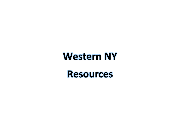## **Western NY**

## **Resources**